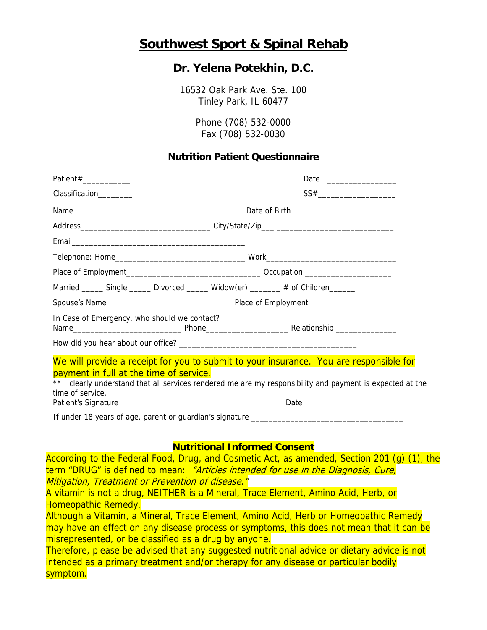## **Southwest Sport & Spinal Rehab**

## **Dr. Yelena Potekhin, D.C.**

16532 Oak Park Ave. Ste. 100 Tinley Park, IL 60477

> Phone (708) 532-0000 Fax (708) 532-0030

## **Nutrition Patient Questionnaire**

| Patient#____________                                                                                                                                                                                                                                                |  |
|---------------------------------------------------------------------------------------------------------------------------------------------------------------------------------------------------------------------------------------------------------------------|--|
| Classification________                                                                                                                                                                                                                                              |  |
|                                                                                                                                                                                                                                                                     |  |
| Address_________________________________City/State/Zip___ ______________________                                                                                                                                                                                    |  |
|                                                                                                                                                                                                                                                                     |  |
|                                                                                                                                                                                                                                                                     |  |
|                                                                                                                                                                                                                                                                     |  |
| Married _______ Single _______ Divorced _______ Widow(er) ________ # of Children _______                                                                                                                                                                            |  |
|                                                                                                                                                                                                                                                                     |  |
| In Case of Emergency, who should we contact?                                                                                                                                                                                                                        |  |
|                                                                                                                                                                                                                                                                     |  |
| We will provide a receipt for you to submit to your insurance. You are responsible for<br>payment in full at the time of service.<br>** I clearly understand that all services rendered me are my responsibility and payment is expected at the<br>time of service. |  |
|                                                                                                                                                                                                                                                                     |  |

## **Nutritional Informed Consent**

According to the Federal Food, Drug, and Cosmetic Act, as amended, Section 201 (g) (1), the term "DRUG" is defined to mean: "Articles intended for use in the Diagnosis, Cure, Mitigation, Treatment or Prevention of disease."

A vitamin is not a drug, NEITHER is a Mineral, Trace Element, Amino Acid, Herb, or Homeopathic Remedy.

Although a Vitamin, a Mineral, Trace Element, Amino Acid, Herb or Homeopathic Remedy may have an effect on any disease process or symptoms, this does not mean that it can be misrepresented, or be classified as a drug by anyone.

Therefore, please be advised that any suggested nutritional advice or dietary advice is not intended as a primary treatment and/or therapy for any disease or particular bodily symptom.